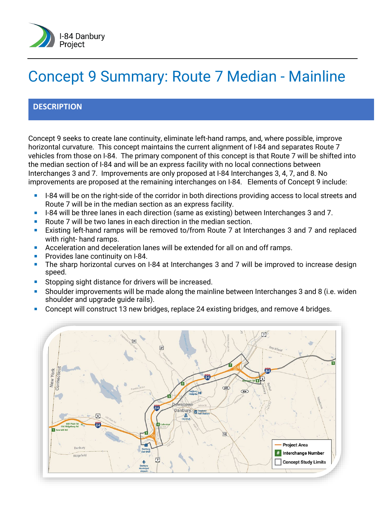

# Concept 9 Summary: Route 7 Median - Mainline

## **DESCRIPTION**

Concept 9 seeks to create lane continuity, eliminate left-hand ramps, and, where possible, improve horizontal curvature. This concept maintains the current alignment of I-84 and separates Route 7 vehicles from those on I-84. The primary component of this concept is that Route 7 will be shifted into the median section of I-84 and will be an express facility with no local connections between Interchanges 3 and 7. Improvements are only proposed at I-84 Interchanges 3, 4, 7, and 8. No improvements are proposed at the remaining interchanges on I-84. Elements of Concept 9 include:

- I-84 will be on the right-side of the corridor in both directions providing access to local streets and Route 7 will be in the median section as an express facility.
- I-84 will be three lanes in each direction (same as existing) between Interchanges 3 and 7.
- Route 7 will be two lanes in each direction in the median section.
- Existing left-hand ramps will be removed to/from Route 7 at Interchanges 3 and 7 and replaced with right- hand ramps.
- Acceleration and deceleration lanes will be extended for all on and off ramps.
- **Provides lane continuity on I-84.**
- The sharp horizontal curves on I-84 at Interchanges 3 and 7 will be improved to increase design speed.
- Stopping sight distance for drivers will be increased.
- Shoulder improvements will be made along the mainline between Interchanges 3 and 8 (i.e. widen shoulder and upgrade guide rails).
- Concept will construct 13 new bridges, replace 24 existing bridges, and remove 4 bridges.